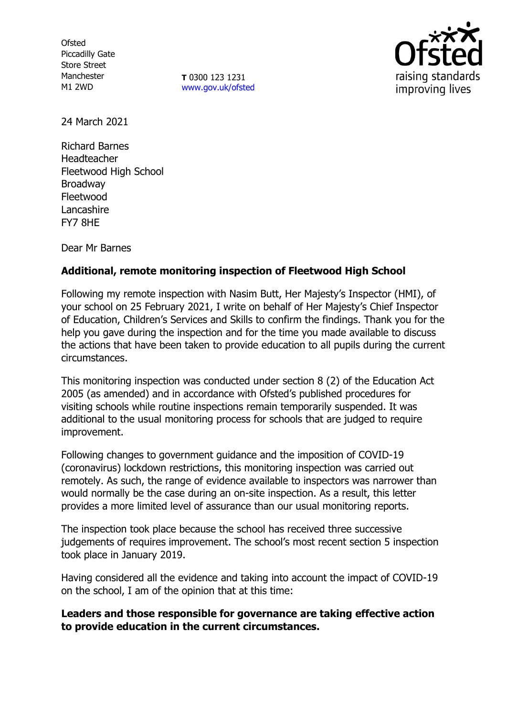**Ofsted** Piccadilly Gate Store Street Manchester M1 2WD

**T** 0300 123 1231 [www.gov.uk/ofsted](http://www.gov.uk/ofsted)



24 March 2021

Richard Barnes Headteacher Fleetwood High School Broadway Fleetwood **Lancashire** FY7 8HE

Dear Mr Barnes

## **Additional, remote monitoring inspection of Fleetwood High School**

Following my remote inspection with Nasim Butt, Her Majesty's Inspector (HMI), of your school on 25 February 2021, I write on behalf of Her Majesty's Chief Inspector of Education, Children's Services and Skills to confirm the findings. Thank you for the help you gave during the inspection and for the time you made available to discuss the actions that have been taken to provide education to all pupils during the current circumstances.

This monitoring inspection was conducted under section 8 (2) of the Education Act 2005 (as amended) and in accordance with Ofsted's published procedures for visiting schools while routine inspections remain temporarily suspended. It was additional to the usual monitoring process for schools that are judged to require improvement.

Following changes to government guidance and the imposition of COVID-19 (coronavirus) lockdown restrictions, this monitoring inspection was carried out remotely. As such, the range of evidence available to inspectors was narrower than would normally be the case during an on-site inspection. As a result, this letter provides a more limited level of assurance than our usual monitoring reports.

The inspection took place because the school has received three successive judgements of requires improvement. The school's most recent section 5 inspection took place in January 2019.

Having considered all the evidence and taking into account the impact of COVID-19 on the school, I am of the opinion that at this time:

**Leaders and those responsible for governance are taking effective action to provide education in the current circumstances.**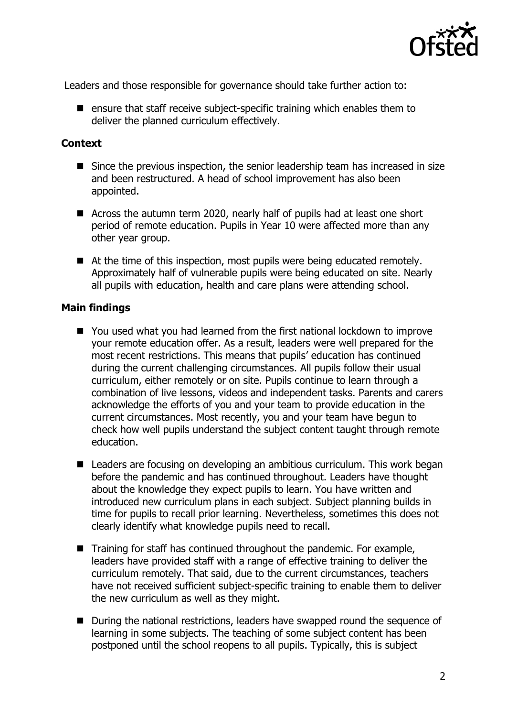

Leaders and those responsible for governance should take further action to:

**E** ensure that staff receive subject-specific training which enables them to deliver the planned curriculum effectively.

## **Context**

- Since the previous inspection, the senior leadership team has increased in size and been restructured. A head of school improvement has also been appointed.
- Across the autumn term 2020, nearly half of pupils had at least one short period of remote education. Pupils in Year 10 were affected more than any other year group.
- At the time of this inspection, most pupils were being educated remotely. Approximately half of vulnerable pupils were being educated on site. Nearly all pupils with education, health and care plans were attending school.

## **Main findings**

- You used what you had learned from the first national lockdown to improve your remote education offer. As a result, leaders were well prepared for the most recent restrictions. This means that pupils' education has continued during the current challenging circumstances. All pupils follow their usual curriculum, either remotely or on site. Pupils continue to learn through a combination of live lessons, videos and independent tasks. Parents and carers acknowledge the efforts of you and your team to provide education in the current circumstances. Most recently, you and your team have begun to check how well pupils understand the subject content taught through remote education.
- Leaders are focusing on developing an ambitious curriculum. This work began before the pandemic and has continued throughout. Leaders have thought about the knowledge they expect pupils to learn. You have written and introduced new curriculum plans in each subject. Subject planning builds in time for pupils to recall prior learning. Nevertheless, sometimes this does not clearly identify what knowledge pupils need to recall.
- $\blacksquare$  Training for staff has continued throughout the pandemic. For example, leaders have provided staff with a range of effective training to deliver the curriculum remotely. That said, due to the current circumstances, teachers have not received sufficient subject-specific training to enable them to deliver the new curriculum as well as they might.
- During the national restrictions, leaders have swapped round the sequence of learning in some subjects. The teaching of some subject content has been postponed until the school reopens to all pupils. Typically, this is subject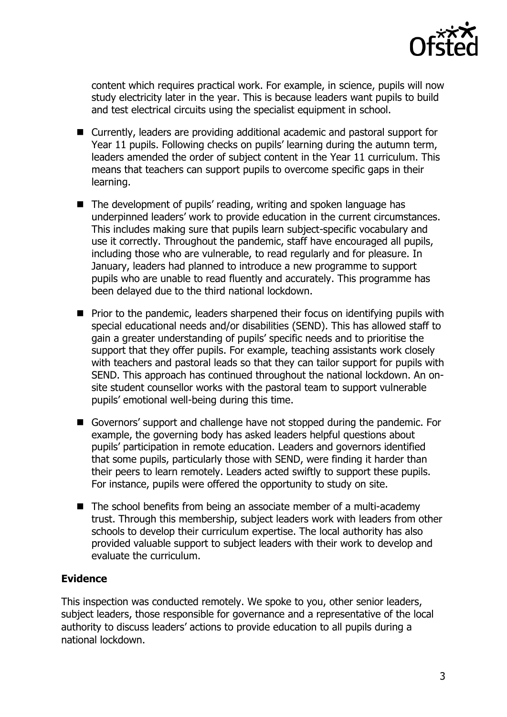

content which requires practical work. For example, in science, pupils will now study electricity later in the year. This is because leaders want pupils to build and test electrical circuits using the specialist equipment in school.

- Currently, leaders are providing additional academic and pastoral support for Year 11 pupils. Following checks on pupils' learning during the autumn term, leaders amended the order of subject content in the Year 11 curriculum. This means that teachers can support pupils to overcome specific gaps in their learning.
- The development of pupils' reading, writing and spoken language has underpinned leaders' work to provide education in the current circumstances. This includes making sure that pupils learn subject-specific vocabulary and use it correctly. Throughout the pandemic, staff have encouraged all pupils, including those who are vulnerable, to read regularly and for pleasure. In January, leaders had planned to introduce a new programme to support pupils who are unable to read fluently and accurately. This programme has been delayed due to the third national lockdown.
- $\blacksquare$  Prior to the pandemic, leaders sharpened their focus on identifying pupils with special educational needs and/or disabilities (SEND). This has allowed staff to gain a greater understanding of pupils' specific needs and to prioritise the support that they offer pupils. For example, teaching assistants work closely with teachers and pastoral leads so that they can tailor support for pupils with SEND. This approach has continued throughout the national lockdown. An onsite student counsellor works with the pastoral team to support vulnerable pupils' emotional well-being during this time.
- Governors' support and challenge have not stopped during the pandemic. For example, the governing body has asked leaders helpful questions about pupils' participation in remote education. Leaders and governors identified that some pupils, particularly those with SEND, were finding it harder than their peers to learn remotely. Leaders acted swiftly to support these pupils. For instance, pupils were offered the opportunity to study on site.
- $\blacksquare$  The school benefits from being an associate member of a multi-academy trust. Through this membership, subject leaders work with leaders from other schools to develop their curriculum expertise. The local authority has also provided valuable support to subject leaders with their work to develop and evaluate the curriculum.

## **Evidence**

This inspection was conducted remotely. We spoke to you, other senior leaders, subject leaders, those responsible for governance and a representative of the local authority to discuss leaders' actions to provide education to all pupils during a national lockdown.